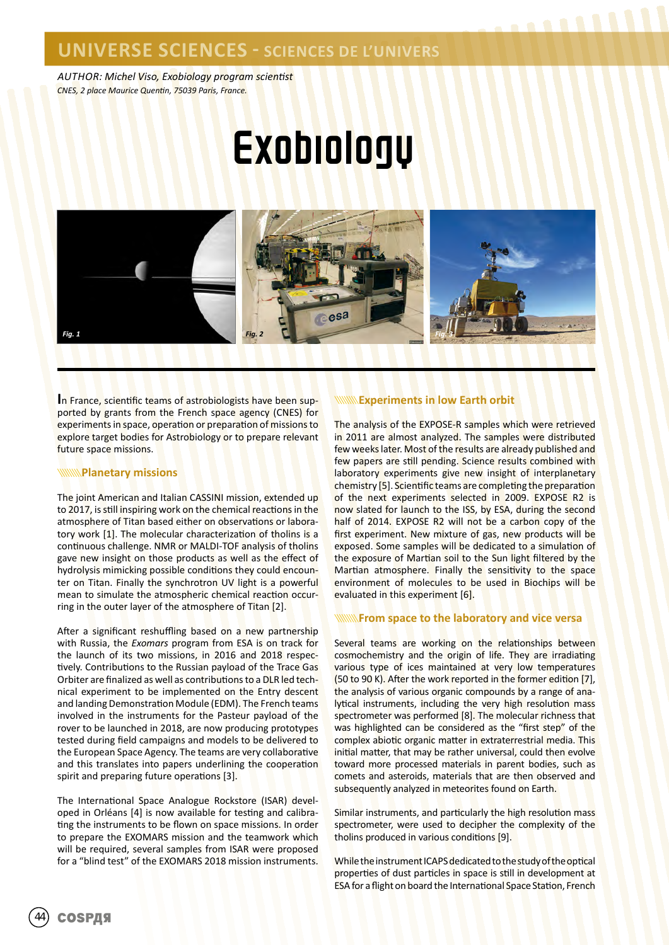### **UNIVERSE SCIENCES - SCIENCES DE L'UNIVERS**

*AUTHOR: Michel Viso, Exobiology program scientist CNES, 2 place Maurice Quentin, 75039 Paris, France.*

# **Exobiology**



**I**n France, scientific teams of astrobiologists have been supported by grants from the French space agency (CNES) for experiments in space, operation or preparation of missions to explore target bodies for Astrobiology or to prepare relevant future space missions.

#### **WWW.Planetary missions**

The joint American and Italian CASSINI mission, extended up to 2017, is still inspiring work on the chemical reactions in the atmosphere of Titan based either on observations or laboratory work [1]. The molecular characterization of tholins is a continuous challenge. NMR or MALDI-TOF analysis of tholins gave new insight on those products as well as the effect of hydrolysis mimicking possible conditions they could encounter on Titan. Finally the synchrotron UV light is a powerful mean to simulate the atmospheric chemical reaction occurring in the outer layer of the atmosphere of Titan [2].

After a significant reshuffling based on a new partnership with Russia, the *Exomars* program from ESA is on track for the launch of its two missions, in 2016 and 2018 respectively. Contributions to the Russian payload of the Trace Gas Orbiter are finalized as well as contributions to a DLR led technical experiment to be implemented on the Entry descent and landing Demonstration Module (EDM). The French teams involved in the instruments for the Pasteur payload of the rover to be launched in 2018, are now producing prototypes tested during field campaigns and models to be delivered to the European Space Agency. The teams are very collaborative and this translates into papers underlining the cooperation spirit and preparing future operations [3].

The International Space Analogue Rockstore (ISAR) developed in Orléans [4] is now available for testing and calibrating the instruments to be flown on space missions. In order to prepare the EXOMARS mission and the teamwork which will be required, several samples from ISAR were proposed for a "blind test" of the EXOMARS 2018 mission instruments.

### **Experiments in low Earth orbit**

The analysis of the EXPOSE-R samples which were retrieved in 2011 are almost analyzed. The samples were distributed few weeks later. Most of the results are already published and few papers are still pending. Science results combined with laboratory experiments give new insight of interplanetary chemistry [5]. Scientific teams are completing the preparation of the next experiments selected in 2009. EXPOSE R2 is now slated for launch to the ISS, by ESA, during the second half of 2014. EXPOSE R2 will not be a carbon copy of the first experiment. New mixture of gas, new products will be exposed. Some samples will be dedicated to a simulation of the exposure of Martian soil to the Sun light filtered by the Martian atmosphere. Finally the sensitivity to the space environment of molecules to be used in Biochips will be evaluated in this experiment [6].

........

#### **From space to the laboratory and vice versa**

Several teams are working on the relationships between cosmochemistry and the origin of life. They are irradiating various type of ices maintained at very low temperatures (50 to 90 K). After the work reported in the former edition [7], the analysis of various organic compounds by a range of analytical instruments, including the very high resolution mass spectrometer was performed [8]. The molecular richness that was highlighted can be considered as the "first step" of the complex abiotic organic matter in extraterrestrial media. This initial matter, that may be rather universal, could then evolve toward more processed materials in parent bodies, such as comets and asteroids, materials that are then observed and subsequently analyzed in meteorites found on Earth.

Similar instruments, and particularly the high resolution mass spectrometer, were used to decipher the complexity of the tholins produced in various conditions [9].

While the instrument ICAPS dedicated to the study of the optical properties of dust particles in space is still in development at ESA for a flight on board the International Space Station, French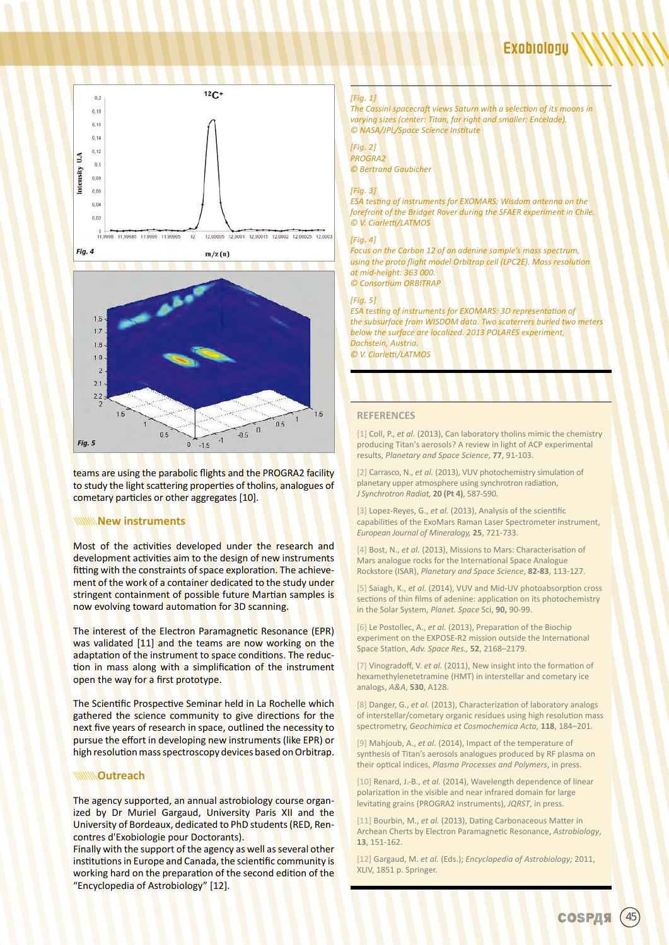



teams are using the parabolic flights and the PROGRA2 facility to study the light scattering properties of tholins, analogues of cometary particles or other aggregates [10].

### **New instruments**

Most of the activities developed under the research and development activities aim to the design of new instruments fitting with the constraints of space exploration. The achievement of the work of a container dedicated to the study under stringent containment of possible future Martian samples is now evolving toward automation for 3D scanning.

The interest of the Electron Paramagnetic Resonance (EPR) was validated [11] and the teams are now working on the adaptation of the instrument to space conditions. The reduction in mass along with a simplification of the instrument open the way for a first prototype.

The Scientific Prospective Seminar held in La Rochelle which gathered the science community to give directions for the next five years of research in space, outlined the necessity to pursue the effort in developing new instruments (like EPR) or high resolution mass spectroscopy devices based on Orbitrap.

#### **WWW.Outreach**

The agency supported, an annual astrobiology course organized by Dr Muriel Gargaud, University Paris XII and the University of Bordeaux, dedicated to PhD students (RED, Rencontres d'Exobiologie pour Doctorants).

Finally with the support of the agency as well as several other institutions in Europe and Canada, the scientific community is working hard on the preparation of the second edition of the "Encyclopedia of Astrobiology" [12].

#### *[Fig. 1]*

*The Cassini spacecraft views Saturn with a selection of its moons in varying sizes (center: Titan, far right and smaller: Encelade). © NASA/JPL/Space Science Institute*

#### *[Fig. 2] PROGRA2*

*© Bertrand Gaubicher*

#### *[Fig. 3]*

*ESA testing of instruments for EXOMARS: Wisdom antenna on the forefront of the Bridget Rover during the SFAER experiment in Chile. © V. Ciarletti/LATMOS*

#### *[Fig. 4]*

*Focus on the Carbon 12 of an adenine sample's mass spectrum, using the proto flight model Orbitrap cell (LPC2E). Mass resolution at mid-height: 363 000. © Consortium ORBITRAP*

#### *[Fig. 5]*

**ESA testing of instruments for EXOMARS: 3D representation of** *the subsurface from WISDOM data. Two scaterrers buried two meters below the surface are localized. 2013 POLARES experiment, Dachstein, Austria. © V. Ciarletti/LATMOS*

#### **REFERENCES**

[1] Coll, P., *et al.* (2013), Can laboratory tholins mimic the chemistry producing Titan's aerosols? A review in light of ACP experimental results, *Planetary and Space Science*, **77**, 91-103.

[2] Carrasco, N., *et al.* (2013), VUV photochemistry simulation of planetary upper atmosphere using synchrotron radiation, *J Synchrotron Radiat,* **20 (Pt 4)**, 587-590.

[3] Lopez-Reyes, G., *et al.* (2013), Analysis of the scientific capabilities of the ExoMars Raman Laser Spectrometer instrument, *European Journal of Mineralogy,* **25**, 721-733.

[4] Bost, N., *et al.* (2013), Missions to Mars: Characterisation of Mars analogue rocks for the International Space Analogue Rockstore (ISAR), *Planetary and Space Science*, **82-83**, 113-127.

[5] Saiagh, K., *et al.* (2014), VUV and Mid-UV photoabsorption cross sections of thin films of adenine: application on its photochemistry in the Solar System, *Planet. Space* Sci, **90,** 90-99.

[6] Le Postollec, A., *et al.* (2013), Preparation of the Biochip experiment on the EXPOSE-R2 mission outside the International Space Station, *Adv. Space Res.,* **52**, 2168–2179.

[7] Vinogradoff, V. *et al.* (2011), New insight into the formation of hexamethylenetetramine (HMT) in interstellar and cometary ice analogs, *A&A*, **530**, A128.

[8] Danger, G., *et al.* (2013), Characterization of laboratory analogs of interstellar/cometary organic residues using high resolution mass spectrometry, *Geochimica et Cosmochemica Acta,* **118**, 184–201.

[9] Mahjoub, A., *et al.* (2014), Impact of the temperature of synthesis of Titan's aerosols analogues produced by RF plasma on their optical indices, *Plasma Processes and Polymers*, in press.

[10] Renard, J.-B., *et al.* (2014), Wavelength dependence of linear polarization in the visible and near infrared domain for large levitating grains (PROGRA2 instruments), *JQRST*, in press.

[11] Bourbin, M., *et al.* (2013), Dating Carbonaceous Matter in Archean Cherts by Electron Paramagnetic Resonance, *Astrobiology*, **13**, 151-162.

[12] Gargaud, M. *et al.* (Eds.); *Encyclopedia of Astrobiology;* 2011, XLIV, 1851 p. Springer.

**СОSРДЯ**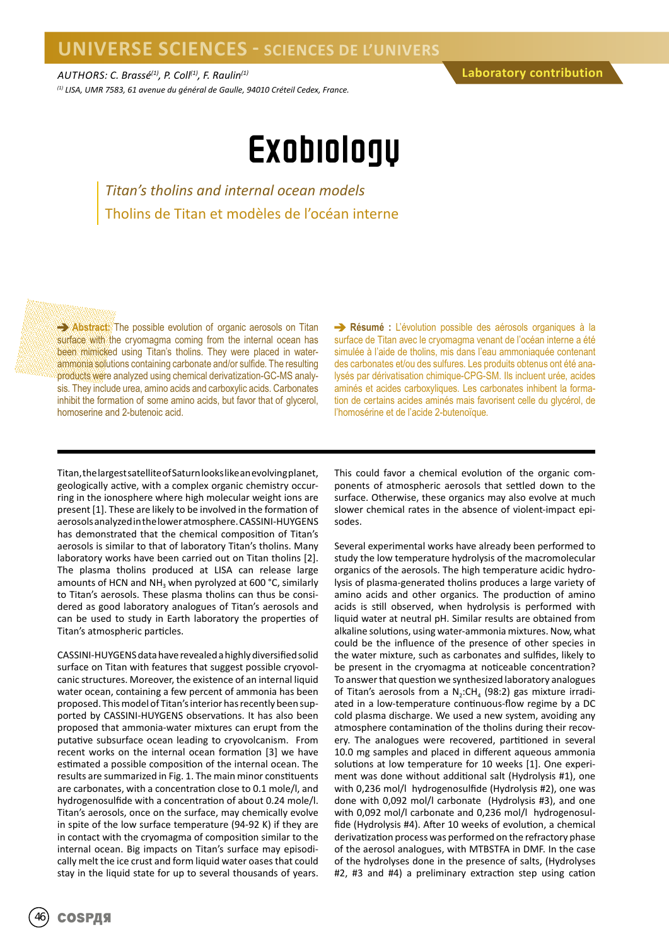*AUTHORS: C. Brassé(1), P. Coll(1), F. Raulin(1) (1) LISA, UMR 7583, 61 avenue du général de Gaulle, 94010 Créteil Cedex, France.*

## Exobiology

*Titan's tholins and internal ocean models* Tholins de Titan et modèles de l'océan interne

**Abstract:** The possible evolution of organic aerosols on Titan surface with the cryomagma coming from the internal ocean has been mimicked using Titan's tholins. They were placed in waterammonia solutions containing carbonate and/or sulfide. The resulting products were analyzed using chemical derivatization-GC-MS analysis. They include urea, amino acids and carboxylic acids. Carbonates inhibit the formation of some amino acids, but favor that of glycerol, homoserine and 2-butenoic acid.

**Résumé :** L'évolution possible des aérosols organiques à la surface de Titan avec le cryomagma venant de l'océan interne a été simulée à l'aide de tholins, mis dans l'eau ammoniaquée contenant des carbonates et/ou des sulfures. Les produits obtenus ont été analysés par dérivatisation chimique-CPG-SM. Ils incluent urée, acides aminés et acides carboxyliques. Les carbonates inhibent la formation de certains acides aminés mais favorisent celle du glycérol, de l'homosérine et de l'acide 2-butenoïque.

Titan, the largest satellite of Saturn looks like an evolving planet, geologically active, with a complex organic chemistry occurring in the ionosphere where high molecular weight ions are present [1]. These are likely to be involved in the formation of aerosols analyzed in the lower atmosphere. CASSINI-HUYGENS has demonstrated that the chemical composition of Titan's aerosols is similar to that of laboratory Titan's tholins. Many laboratory works have been carried out on Titan tholins [2]. The plasma tholins produced at LISA can release large amounts of HCN and  $NH<sub>3</sub>$  when pyrolyzed at 600 °C, similarly to Titan's aerosols. These plasma tholins can thus be considered as good laboratory analogues of Titan's aerosols and can be used to study in Earth laboratory the properties of Titan's atmospheric particles.

CASSINI-HUYGENS data have revealed a highly diversified solid surface on Titan with features that suggest possible cryovolcanic structures. Moreover, the existence of an internal liquid water ocean, containing a few percent of ammonia has been proposed. This model of Titan's interior has recently been supported by CASSINI-HUYGENS observations. It has also been proposed that ammonia-water mixtures can erupt from the putative subsurface ocean leading to cryovolcanism. From recent works on the internal ocean formation [3] we have estimated a possible composition of the internal ocean. The results are summarized in Fig. 1. The main minor constituents are carbonates, with a concentration close to 0.1 mole/l, and hydrogenosulfide with a concentration of about 0.24 mole/l. Titan's aerosols, once on the surface, may chemically evolve in spite of the low surface temperature (94-92 K) if they are in contact with the cryomagma of composition similar to the internal ocean. Big impacts on Titan's surface may episodically melt the ice crust and form liquid water oases that could stay in the liquid state for up to several thousands of years.

This could favor a chemical evolution of the organic components of atmospheric aerosols that settled down to the surface. Otherwise, these organics may also evolve at much slower chemical rates in the absence of violent-impact episodes.

Several experimental works have already been performed to study the low temperature hydrolysis of the macromolecular organics of the aerosols. The high temperature acidic hydrolysis of plasma-generated tholins produces a large variety of amino acids and other organics. The production of amino acids is still observed, when hydrolysis is performed with liquid water at neutral pH. Similar results are obtained from alkaline solutions, using water-ammonia mixtures. Now, what could be the influence of the presence of other species in the water mixture, such as carbonates and sulfides, likely to be present in the cryomagma at noticeable concentration? To answer that question we synthesized laboratory analogues of Titan's aerosols from a  $N_2$ :CH<sub>4</sub> (98:2) gas mixture irradiated in a low-temperature continuous-flow regime by a DC cold plasma discharge. We used a new system, avoiding any atmosphere contamination of the tholins during their recovery. The analogues were recovered, partitioned in several 10.0 mg samples and placed in different aqueous ammonia solutions at low temperature for 10 weeks [1]. One experiment was done without additional salt (Hydrolysis #1), one with 0,236 mol/l hydrogenosulfide (Hydrolysis #2), one was done with 0,092 mol/l carbonate (Hydrolysis #3), and one with 0,092 mol/l carbonate and 0,236 mol/l hydrogenosulfide (Hydrolysis #4). After 10 weeks of evolution, a chemical derivatization process was performed on the refractory phase of the aerosol analogues, with MTBSTFA in DMF. In the case of the hydrolyses done in the presence of salts, (Hydrolyses #2, #3 and #4) a preliminary extraction step using cation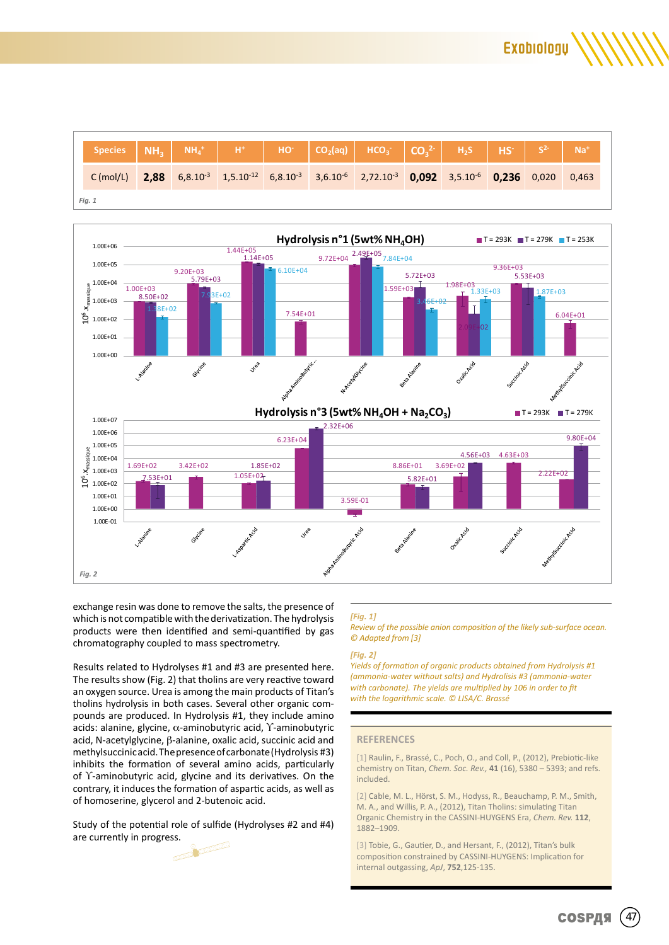**Exobiology** 

|        |  |  | Species $NH_3$ $NH_4^+$ $H^+$ $H^+$ $HO^ CO_2$ (aq) $HCO_3^ CO_3^2$ $H_2S$ $HS^ S^2$ $Na^+$                                                                           |  |  |  |
|--------|--|--|-----------------------------------------------------------------------------------------------------------------------------------------------------------------------|--|--|--|
|        |  |  | C(mol/L) 2,88 6,8.10 <sup>-3</sup> 1,5.10 <sup>-12</sup> 6,8.10 <sup>-3</sup> 3,6.10 <sup>-6</sup> 2,72.10 <sup>-3</sup> 0,092 3,5.10 <sup>-6</sup> 0,236 0,020 0,463 |  |  |  |
| Fig. 1 |  |  |                                                                                                                                                                       |  |  |  |



exchange resin was done to remove the salts, the presence of which is not compatible with the derivatization. The hydrolysis products were then identified and semi-quantified by gas chromatography coupled to mass spectrometry.

Results related to Hydrolyses #1 and #3 are presented here. The results show (Fig. 2) that tholins are very reactive toward an oxygen source. Urea is among the main products of Titan's tholins hydrolysis in both cases. Several other organic compounds are produced. In Hydrolysis #1, they include amino acids: alanine, glycine, α-aminobutyric acid, ϒ-aminobutyric acid, N-acetylglycine, β-alanine, oxalic acid, succinic acid and methylsuccinic acid. The presence of carbonate (Hydrolysis #3) inhibits the formation of several amino acids, particularly of ϒ-aminobutyric acid, glycine and its derivatives. On the contrary, it induces the formation of aspartic acids, as well as of homoserine, glycerol and 2-butenoic acid.

Study of the potential role of sulfide (Hydrolyses #2 and #4) are currently in progress.

#### *[Fig. 1]*

*Review of the possible anion composition of the likely sub-surface ocean. © Adapted from [3]*

#### *[Fig. 2]*

*Yields of formation of organic products obtained from Hydrolysis #1 (ammonia-water without salts) and Hydrolisis #3 (ammonia-water*  with carbonate). The yields are multiplied by 106 in order to fit *with the logarithmic scale. © LISA/C. Brassé*

#### **REFERENCES**

[1] Raulin, F., Brassé, C., Poch, O., and Coll, P., (2012), Prebiotic-like chemistry on Titan, *Chem. Soc. Rev.,* **41** (16), 5380 – 5393; and refs. included.

[2] Cable, M. L., Hörst, S. M., Hodyss, R., Beauchamp, P. M., Smith, M. A., and Willis, P. A., (2012), Titan Tholins: simulating Titan Organic Chemistry in the CASSINI-HUYGENS Era, *Chem. Rev.* **112**, 1882–1909.

[3] Tobie, G., Gautier, D., and Hersant, F., (2012), Titan's bulk composition constrained by CASSINI-HUYGENS: Implication for internal outgassing, *ApJ*, **752**,125-135.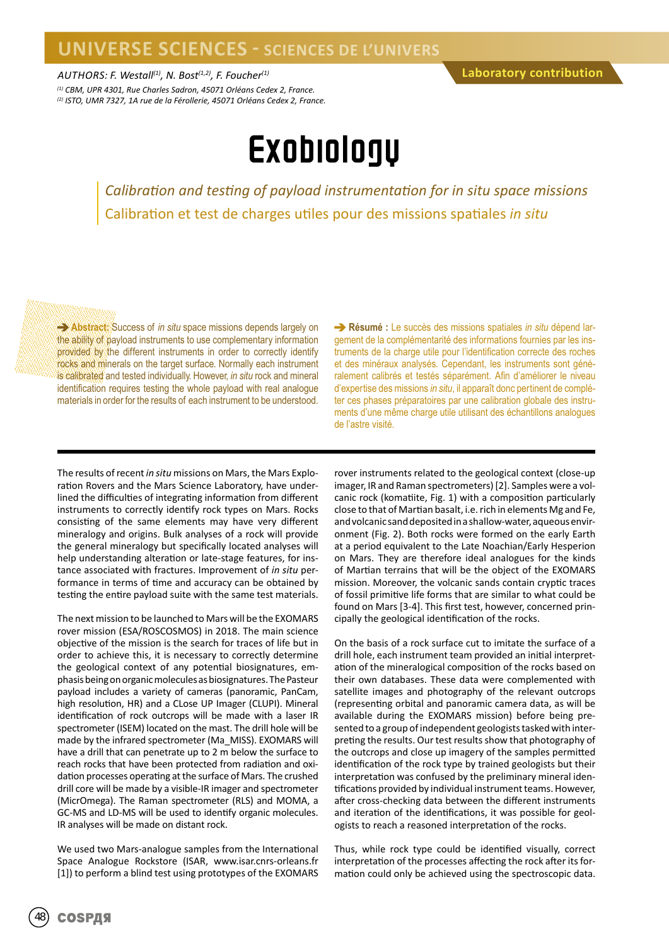*AUTHORS: F. Westall(1), N. Bost(1,2), F. Foucher(1)*

*(1) CBM, UPR 4301, Rue Charles Sadron, 45071 Orléans Cedex 2, France. (2) ISTO, UMR 7327, 1A rue de la Férollerie, 45071 Orléans Cedex 2, France.*

## Exobiology

*Calibration and testing of payload instrumentation for in situ space missions* Calibration et test de charges utiles pour des missions spatiales *in situ*

**Abstract:** Success of *in situ* space missions depends largely on the ability of payload instruments to use complementary information provided by the different instruments in order to correctly identify rocks and minerals on the target surface. Normally each instrument is calibrated and tested individually. However, *in situ* rock and mineral identification requires testing the whole payload with real analogue materials in order for the results of each instrument to be understood.

**Résumé :** Le succès des missions spatiales *in situ* dépend largement de la complémentarité des informations fournies par les instruments de la charge utile pour l'identification correcte des roches et des minéraux analysés. Cependant, les instruments sont généralement calibrés et testés séparément. Afin d'améliorer le niveau d'expertise des missions *in situ*, il apparaît donc pertinent de compléter ces phases préparatoires par une calibration globale des instruments d'une même charge utile utilisant des échantillons analogues de l'astre visité.

The results of recent *in situ* missions on Mars, the Mars Exploration Rovers and the Mars Science Laboratory, have underlined the difficulties of integrating information from different instruments to correctly identify rock types on Mars. Rocks consisting of the same elements may have very different mineralogy and origins. Bulk analyses of a rock will provide the general mineralogy but specifically located analyses will help understanding alteration or late-stage features, for instance associated with fractures. Improvement of *in situ* performance in terms of time and accuracy can be obtained by testing the entire payload suite with the same test materials.

The next mission to be launched to Mars will be the EXOMARS rover mission (ESA/ROSCOSMOS) in 2018. The main science objective of the mission is the search for traces of life but in order to achieve this, it is necessary to correctly determine the geological context of any potential biosignatures, emphasis being on organic molecules as biosignatures. The Pasteur payload includes a variety of cameras (panoramic, PanCam, high resolution, HR) and a CLose UP Imager (CLUPI). Mineral identification of rock outcrops will be made with a laser IR spectrometer (ISEM) located on the mast. The drill hole will be made by the infrared spectrometer (Ma\_MISS). EXOMARS will have a drill that can penetrate up to 2 m below the surface to reach rocks that have been protected from radiation and oxidation processes operating at the surface of Mars. The crushed drill core will be made by a visible-IR imager and spectrometer (MicrOmega). The Raman spectrometer (RLS) and MOMA, a GC-MS and LD-MS will be used to identify organic molecules. IR analyses will be made on distant rock.

We used two Mars-analogue samples from the International Space Analogue Rockstore (ISAR, www.isar.cnrs-orleans.fr [1]) to perform a blind test using prototypes of the EXOMARS

rover instruments related to the geological context (close-up imager, IR and Raman spectrometers) [2]. Samples were a volcanic rock (komatiite, Fig. 1) with a composition particularly close to that of Martian basalt, i.e. rich in elements Mg and Fe, and volcanic sand deposited in a shallow-water, aqueous environment (Fig. 2). Both rocks were formed on the early Earth at a period equivalent to the Late Noachian/Early Hesperion on Mars. They are therefore ideal analogues for the kinds of Martian terrains that will be the object of the EXOMARS mission. Moreover, the volcanic sands contain cryptic traces of fossil primitive life forms that are similar to what could be found on Mars [3-4]. This first test, however, concerned principally the geological identification of the rocks.

On the basis of a rock surface cut to imitate the surface of a drill hole, each instrument team provided an initial interpretation of the mineralogical composition of the rocks based on their own databases. These data were complemented with satellite images and photography of the relevant outcrops (representing orbital and panoramic camera data, as will be available during the EXOMARS mission) before being presented to a group of independent geologists tasked with interpreting the results. Our test results show that photography of the outcrops and close up imagery of the samples permitted identification of the rock type by trained geologists but their interpretation was confused by the preliminary mineral identifications provided by individual instrument teams. However, after cross-checking data between the different instruments and iteration of the identifications, it was possible for geologists to reach a reasoned interpretation of the rocks.

Thus, while rock type could be identified visually, correct interpretation of the processes affecting the rock after its formation could only be achieved using the spectroscopic data.